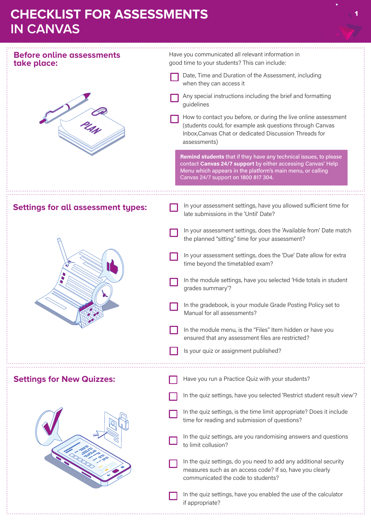## **CHECKLIST FOR ASSESSMENTS IN CANVAS**